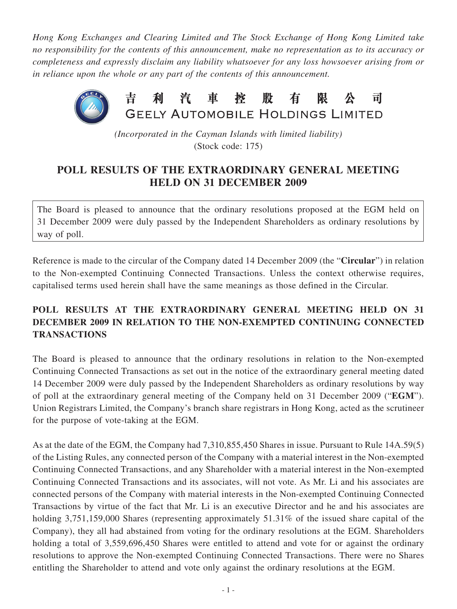*Hong Kong Exchanges and Clearing Limited and The Stock Exchange of Hong Kong Limited take no responsibility for the contents of this announcement, make no representation as to its accuracy or completeness and expressly disclaim any liability whatsoever for any loss howsoever arising from or in reliance upon the whole or any part of the contents of this announcement.*



*(Incorporated in the Cayman Islands with limited liability)* (Stock code: 175)

## **POLL RESULTS OF THE EXTRAORDINARY GENERAL MEETING HELD ON 31 DECEMBER 2009**

The Board is pleased to announce that the ordinary resolutions proposed at the EGM held on 31 December 2009 were duly passed by the Independent Shareholders as ordinary resolutions by way of poll.

Reference is made to the circular of the Company dated 14 December 2009 (the "**Circular**") in relation to the Non-exempted Continuing Connected Transactions. Unless the context otherwise requires, capitalised terms used herein shall have the same meanings as those defined in the Circular.

## **POLL RESULTS AT THE EXTRAORDINARY GENERAL MEETING HELD ON 31 DECEMBER 2009 IN RELATION TO THE NON-EXEMPTED CONTINUING CONNECTED TRANSACTIONS**

The Board is pleased to announce that the ordinary resolutions in relation to the Non-exempted Continuing Connected Transactions as set out in the notice of the extraordinary general meeting dated 14 December 2009 were duly passed by the Independent Shareholders as ordinary resolutions by way of poll at the extraordinary general meeting of the Company held on 31 December 2009 ("**EGM**"). Union Registrars Limited, the Company's branch share registrars in Hong Kong, acted as the scrutineer for the purpose of vote-taking at the EGM.

As at the date of the EGM, the Company had 7,310,855,450 Shares in issue. Pursuant to Rule 14A.59(5) of the Listing Rules, any connected person of the Company with a material interest in the Non-exempted Continuing Connected Transactions, and any Shareholder with a material interest in the Non-exempted Continuing Connected Transactions and its associates, will not vote. As Mr. Li and his associates are connected persons of the Company with material interests in the Non-exempted Continuing Connected Transactions by virtue of the fact that Mr. Li is an executive Director and he and his associates are holding 3,751,159,000 Shares (representing approximately 51.31% of the issued share capital of the Company), they all had abstained from voting for the ordinary resolutions at the EGM. Shareholders holding a total of 3,559,696,450 Shares were entitled to attend and vote for or against the ordinary resolutions to approve the Non-exempted Continuing Connected Transactions. There were no Shares entitling the Shareholder to attend and vote only against the ordinary resolutions at the EGM.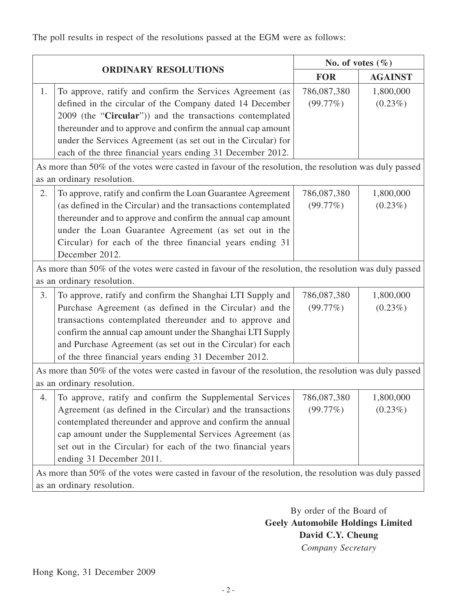The poll results in respect of the resolutions passed at the EGM were as follows:

| <b>ORDINARY RESOLUTIONS</b>                                                                                                         |                                                                                                                                                                                                                                                                                                                                                                          | No. of votes $(\% )$    |                         |
|-------------------------------------------------------------------------------------------------------------------------------------|--------------------------------------------------------------------------------------------------------------------------------------------------------------------------------------------------------------------------------------------------------------------------------------------------------------------------------------------------------------------------|-------------------------|-------------------------|
|                                                                                                                                     |                                                                                                                                                                                                                                                                                                                                                                          | <b>FOR</b>              | <b>AGAINST</b>          |
| 1.                                                                                                                                  | To approve, ratify and confirm the Services Agreement (as<br>defined in the circular of the Company dated 14 December<br>2009 (the "Circular")) and the transactions contemplated<br>thereunder and to approve and confirm the annual cap amount                                                                                                                         | 786,087,380<br>(99.77%) | 1,800,000<br>$(0.23\%)$ |
|                                                                                                                                     | under the Services Agreement (as set out in the Circular) for<br>each of the three financial years ending 31 December 2012.                                                                                                                                                                                                                                              |                         |                         |
| As more than 50% of the votes were casted in favour of the resolution, the resolution was duly passed<br>as an ordinary resolution. |                                                                                                                                                                                                                                                                                                                                                                          |                         |                         |
| 2.                                                                                                                                  | To approve, ratify and confirm the Loan Guarantee Agreement<br>(as defined in the Circular) and the transactions contemplated<br>thereunder and to approve and confirm the annual cap amount<br>under the Loan Guarantee Agreement (as set out in the<br>Circular) for each of the three financial years ending 31<br>December 2012.                                     | 786,087,380<br>(99.77%) | 1,800,000<br>$(0.23\%)$ |
| As more than 50% of the votes were casted in favour of the resolution, the resolution was duly passed                               |                                                                                                                                                                                                                                                                                                                                                                          |                         |                         |
| as an ordinary resolution.                                                                                                          |                                                                                                                                                                                                                                                                                                                                                                          |                         |                         |
| 3.                                                                                                                                  | To approve, ratify and confirm the Shanghai LTI Supply and<br>Purchase Agreement (as defined in the Circular) and the<br>transactions contemplated thereunder and to approve and<br>confirm the annual cap amount under the Shanghai LTI Supply<br>and Purchase Agreement (as set out in the Circular) for each<br>of the three financial years ending 31 December 2012. | 786,087,380<br>(99.77%) | 1,800,000<br>$(0.23\%)$ |
| As more than 50% of the votes were casted in favour of the resolution, the resolution was duly passed<br>as an ordinary resolution. |                                                                                                                                                                                                                                                                                                                                                                          |                         |                         |
| 4.                                                                                                                                  | To approve, ratify and confirm the Supplemental Services<br>Agreement (as defined in the Circular) and the transactions<br>contemplated thereunder and approve and confirm the annual<br>cap amount under the Supplemental Services Agreement (as<br>set out in the Circular) for each of the two financial years<br>ending 31 December 2011.                            | 786,087,380<br>(99.77%) | 1,800,000<br>$(0.23\%)$ |
| As more than 50% of the votes were casted in favour of the resolution, the resolution was duly passed<br>as an ordinary resolution. |                                                                                                                                                                                                                                                                                                                                                                          |                         |                         |

By order of the Board of **Geely Automobile Holdings Limited David C.Y. Cheung** *Company Secretary*

Hong Kong, 31 December 2009